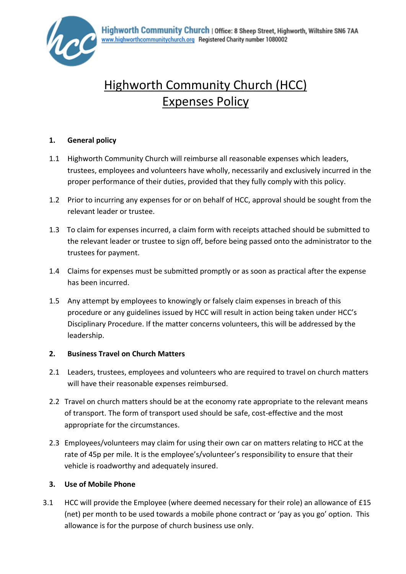

# Highworth Community Church (HCC) Expenses Policy

## **1. General policy**

- 1.1 Highworth Community Church will reimburse all reasonable expenses which leaders, trustees, employees and volunteers have wholly, necessarily and exclusively incurred in the proper performance of their duties, provided that they fully comply with this policy.
- 1.2 Prior to incurring any expenses for or on behalf of HCC, approval should be sought from the relevant leader or trustee.
- 1.3 To claim for expenses incurred, a claim form with receipts attached should be submitted to the relevant leader or trustee to sign off, before being passed onto the administrator to the trustees for payment.
- 1.4 Claims for expenses must be submitted promptly or as soon as practical after the expense has been incurred.
- 1.5 Any attempt by employees to knowingly or falsely claim expenses in breach of this procedure or any guidelines issued by HCC will result in action being taken under HCC's Disciplinary Procedure. If the matter concerns volunteers, this will be addressed by the leadership.

#### **2. Business Travel on Church Matters**

- 2.1 Leaders, trustees, employees and volunteers who are required to travel on church matters will have their reasonable expenses reimbursed.
- 2.2 Travel on church matters should be at the economy rate appropriate to the relevant means of transport. The form of transport used should be safe, cost-effective and the most appropriate for the circumstances.
- 2.3 Employees/volunteers may claim for using their own car on matters relating to HCC at the rate of 45p per mile. It is the employee's/volunteer's responsibility to ensure that their vehicle is roadworthy and adequately insured.

#### **3. Use of Mobile Phone**

3.1 HCC will provide the Employee (where deemed necessary for their role) an allowance of £15 (net) per month to be used towards a mobile phone contract or 'pay as you go' option. This allowance is for the purpose of church business use only.